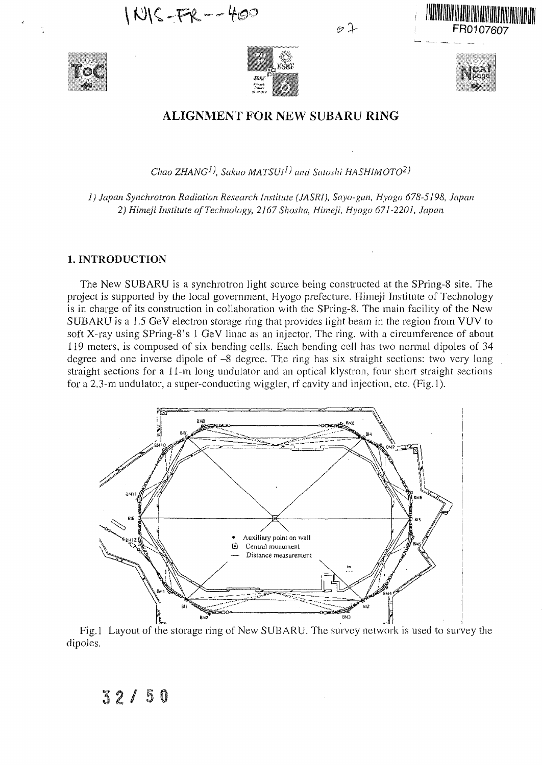$|N|C-FR-460$ 





10 J



FR0107607

# ALIGNMENT FOR NEW SUBARU RING

*Chao ZHANG<sup>1</sup> ), Sakuo MATSUI<sup>1</sup> ) and Satoshi HASHIMOTO<sup>2</sup> )*

*1) Japan Synchrotron Radiation Research Institute (JASRI), Sayo-gun, Hyogo 678-5198, Japan 2) Himeji Institute of Technology, 2167 Shosha, Himeji, Hyogo 671-2201, Japan*

#### **1. INTRODUCTION**

 $32/50$ 

The New SUBARU is a synchrotron light source being constructed at the SPring-8 site. The project is supported by the local government, Hyogo prefecture. Himeji Institute of Technology is in charge of its construction in collaboration with die SPring-8. The main facility of the New SUBARU is a 1.5 GeV electron storage ring that provides light beam in the region from VUV to soft X-ray using SPring-8's 1 GeV linac as an injector. The ring, with a circumference of about 119 meters, is composed of six bending cells. Each bending cell has two normal dipoles of 34 degree and one inverse dipole of -8 degree. The ring has six straight sections: two very long straight sections for a 11-m long undulator and an optical klystron, four short straight sections for a 2.3-m undulator, a super-conducting wiggler, rf cavity and injection, etc. (Fig. 1).



Fig. 1 Layout of the storage ring of New SUBARU. The survey network is used to survey the dipoles.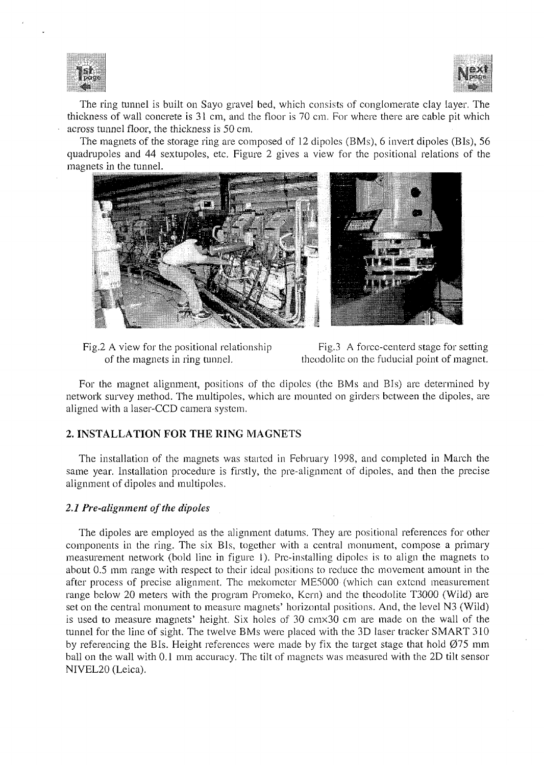



The ring tunnel is built on Sayo gravel bed, which consists of conglomerate clay layer. The thickness of wall concrete is 31 cm, and the floor is 70 cm. For where there are cable pit which across tunnel floor, the thickness is 50 cm.

The magnets of the storage ring are composed of 12 dipoles (BMs), 6 invert dipoles (Bis), 56 quadrupoles and 44 sextupoles, etc. Figure 2 gives a view for the positional relations of the magnets in the tunnel.



Fig.2 A view for the positional relationship of the magnets in ring tunnel.

Fig.3 A forcc-centerd stage for setting theodolite on the fuducial point of magnet.

For the magnet alignment, positions of the dipoles (the BMs and BIs) are determined by network survey method. The multipoles, which are mounted on girders between the dipoles, are aligned with a laser-CCD camera system.

## **2. INSTALLATION FOR THE RING** MAGNETS

The installation of the magnets was started in February 1998, and completed in March the same year. Installation procedure is firstly, the pre-alignment of dipoles, and then the precise alignment of dipoles and multipoles.

### *2.1 Pre-alignment of the dipoles*

The dipoles are employed as the alignment datums. They are positional references for other components in the ring. The six Bis, together with a central monument, compose a primary measurement network (bold line in figure 1). Prc-installing dipoles is to align the magnets to about 0.5 mm range with respect to their ideal positions to reduce the movement amount in the after process of precise alignment. The mekometer ME5000 (which can extend measurement range below 20 meters with the program Promeko, Kern) and the theodolite T3000 (Wild) are set on the central monument to measure magnets' horizontal positions. And, the level N3 (Wild) is used to measure magnets' height. Six holes of 30 cmx30 cm are made on the wall of the tunnel for the line of sight. The twelve BMs were placed with the 3D laser tracker SMART 310 by referencing the BIs. Height references were made by fix the target stage that hold  $\varnothing$ 75 mm ball on the wall with 0.1 mm accuracy. The tilt of magnets was measured with the 2D tilt sensor NIVEL20 (Leica).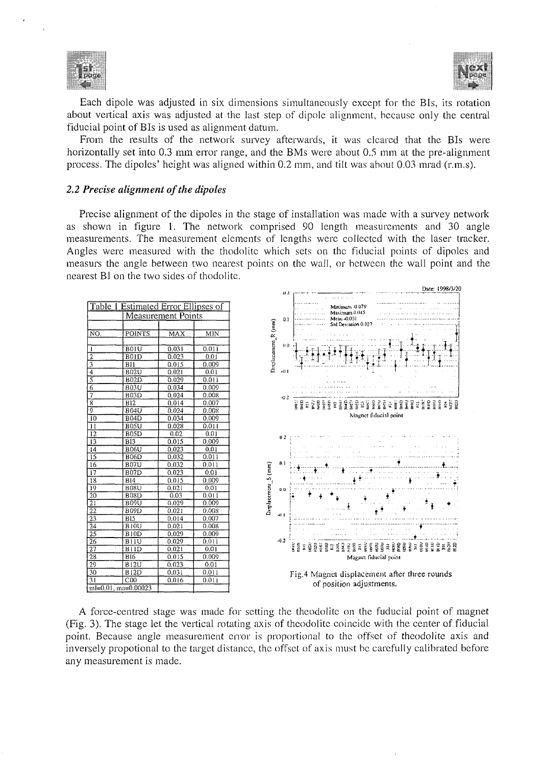



Each dipole was adjusted in six dimensions simultaneously except for the Bis, its rotation about vertical axis was adjusted at the last step of dipole alignment, because only the central fiducial point of Bis is used as alignment datum.

From the results of the network survey afterwards, it was cleared that the Bis were horizontally set into 0.3 mm error range, and the BMs were about 0.5 mm at the pre-alignment process. The dipoles' height was aligned within 0.2 mm, and tilt was about 0.03 mrad (r.m.s).

#### *2.2 Precise alignment of the dipoles*

Precise alignment of the dipoles in the stage of installation was made with a survey network as shown in figure 1. The network comprised 90 length measurements and 30 angle measurements. The measurement elements of lengths were collected with the laser tracker. Angles were measured with the thodolite which sets on the fiducial points of dipoles and measurs the angle between two nearest points on the wall, or between the wall point and the nearest Bl on the two sides of thodolite.

![](_page_2_Figure_6.jpeg)

A force-centred stage was made for setting the theodolite on the fuducial point of magnet (Fig. 3). The stage let the vertical rotating axis of theodolite coincide with the center of fiducial point, Because angle measurement error is proportional to the offset of theodolite axis and inversely propotional to the target distance, the offset of axis must be carefully calibrated before any measurement is made.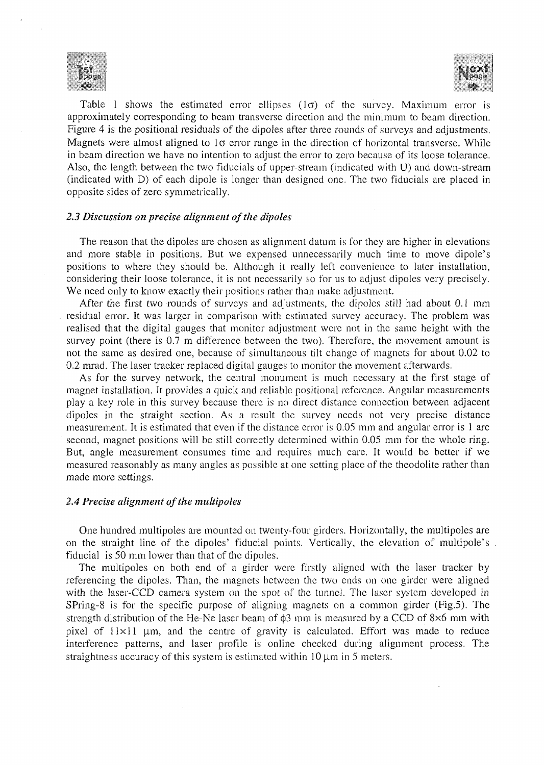![](_page_3_Picture_0.jpeg)

![](_page_3_Picture_1.jpeg)

Table 1 shows the estimated error ellipses  $(1\sigma)$  of the survey. Maximum error is approximately corresponding to beam transverse direction and the minimum to beam direction. Figure 4 is the positional residuals of the dipoles after three rounds of surveys and adjustments. Magnets were almost aligned to  $1\sigma$  error range in the direction of horizontal transverse. While in beam direction we have no intention to adjust the error to zero because of its loose tolerance. Also, the length between the two fiducials of upper-stream (indicated with U) and down-stream (indicated with D) of each dipole is longer than designed one. The two fiducials are placed in opposite sides of zero symmetrically.

### *2.3 Discussion on precise alignment of the dipoles*

The reason that the dipoles are chosen as alignment datum is for they are higher in elevations and more stable in positions. But we expensed unnecessarily much time to move dipole's positions to where they should be. Although it really left convenience to later installation, considering their loose tolerance, it is not necessarily so for us to adjust dipoles very precisely. We need only to know exactly their positions rather than make adjustment.

After the first two rounds of surveys and adjustments, the dipoles still had about 0.1 mm residual error. It was larger in comparison with estimated survey accuracy. The problem was realised that the digital gauges that monitor adjustment were not in the same height with the survey point (there is 0.7 m difference between the two). Therefore, the movement amount is not the same as desired one, because of simultaneous tilt change of magnets for about 0.02 to 0.2 mrad. The laser tracker replaced digital gauges to monitor the movement afterwards.

As for the survey network, the central monument is much necessary at the first stage of magnet installation. It provides a quick and reliable positional reference. Angular measurements play a key role in this survey because there is no direct distance connection between adjacent dipoles in the straight section. As a result the survey needs not very precise distance measurement. It is estimated that even if the distance error is 0.05 mm and angular error is 1 arc second, magnet positions will be still correctly determined within 0.05 mm for the whole ring. But, angle measurement consumes time and requires much care. It would be better if we measured reasonably as many angles as possible at one setting place of the theodolite rather than made more settings.

### *2.4 Precise alignment of the multipoles*

One hundred multipoles are mounted on twenty-four girders. Horizontally, the multipoles are on the straight line of the dipoles' fiducial points. Vertically, the elevation of multipole's fiducial is 50 mm lower than that of the dipoles.

The multipoles on both end of a girder were firstly aligned with the laser tracker by referencing the dipoles. Than, the magnets between the two ends on one girder were aligned with the laser-CCD camera system on the spot of the tunnel. The laser system developed in SPring-8 is for the specific purpose of aligning magnets on a common girder (Fig.5). The strength distribution of the He-Ne laser beam of  $\phi$ 3 mm is measured by a CCD of 8 $\times$ 6 mm with pixel of  $11 \times 11$  µm, and the centre of gravity is calculated. Effort was made to reduce interference patterns, and laser profile is online checked during alignment process. The straightness accuracy of this system is estimated within  $10 \mu m$  in 5 meters.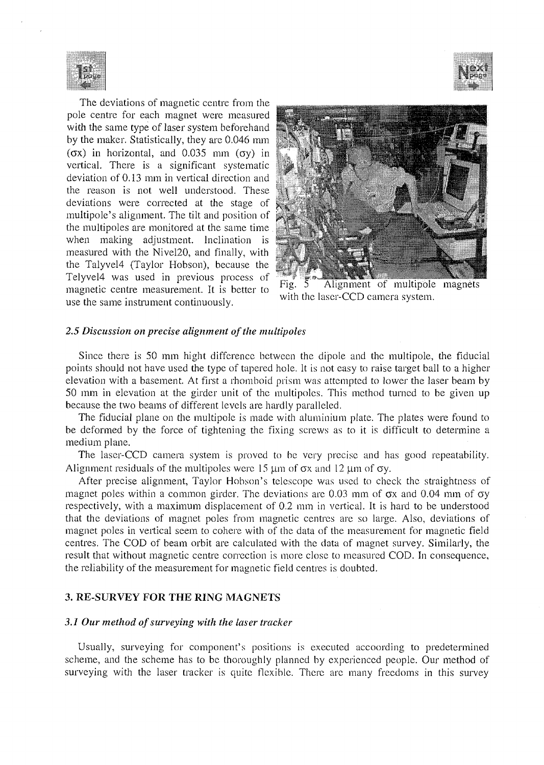![](_page_4_Picture_0.jpeg)

The deviations of magnetic centre from the pole centre for each magnet were measured with the same type of laser system beforehand by the maker. Statistically, they are 0.046 mm  $(\sigma x)$  in horizontal, and 0.035 mm  $(\sigma y)$  in vertical. There is a significant systematic deviation of 0.13 mm in vertical direction and the reason is not well understood. These deviations were corrected at the stage of multipole's alignment. The tilt and position of the multipoles are monitored at the same time when making adjustment. Inclination is measured with the Nivel20, and finally, with the Talyvel4 (Taylor Hobson), because the Telyvel4 was used in previous process of magnetic centre measurement. It is better to use the same instrument continuously.

![](_page_4_Picture_2.jpeg)

![](_page_4_Picture_3.jpeg)

Alignment of multipole magnets with the laser-CCD camera system.

#### *2.5 Discussion on precise alignment of the multipoles*

Since there is 50 mm hight difference between the dipole and the multipole, the fiducial points should not have used the type of tapered hole. It is not easy to raise target ball to a higher elevation with a basement. At first a rhomboid prism was attempted to lower the laser beam by 50 mm in elevation at the girder unit of the multipoles. This method turned to be given up because the two beams of different levels are hardly paralleled.

The fiducial plane on the multipole is made with aluminium plate. The plates were found to be deformed by the force of tightening the fixing screws as to it is difficult to determine a medium plane.

The laser-CCD camera system is proved to be very precise and has good repeatability. Alignment residuals of the multipoles were  $15 \mu m$  of  $\sigma x$  and  $12 \mu m$  of  $\sigma y$ .

After precise alignment, Taylor Hobson's telescope was used to check the straightness of magnet poles within a common girder. The deviations are 0.03 mm of  $\sigma x$  and 0.04 mm of  $\sigma y$ respectively, with a maximum displacement of 0.2 mm in vertical. It is hard to be understood that the deviations of magnet poles from magnetic centres are so large. Also, deviations of magnet poles in vertical seem to cohere with of the data of the measurement for magnetic field centres. The COD of beam orbit are calculated with the data of magnet survey. Similarly, the result that without magnetic centre correction is more close to measured COD. In consequence, the reliability of the measurement for magnetic field centres is doubted.

#### **3. RE-SURVEY FOR THE RING MAGNETS**

## *3.1 Our method of surveying with the laser tracker*

Usually, surveying for component's positions is executed accoording to predetermined scheme, and the scheme has to be thoroughly planned by experienced people. Our method of surveying with the laser tracker is quite flexible. There are many freedoms in this survey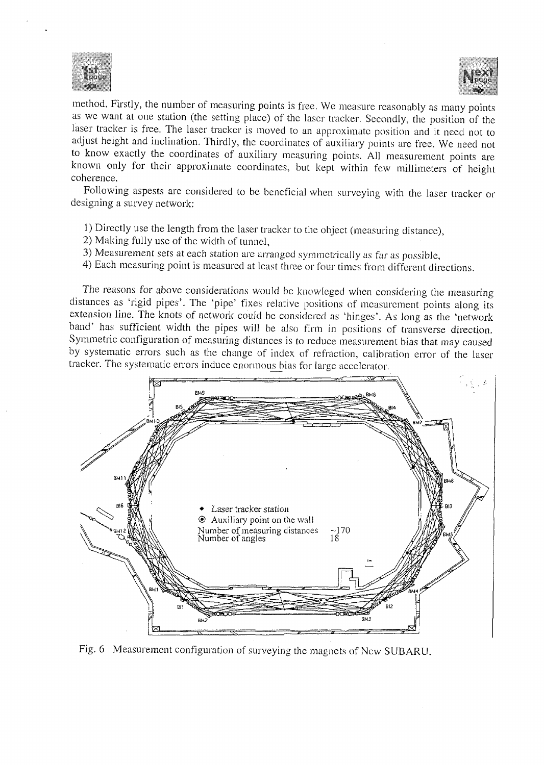![](_page_5_Picture_0.jpeg)

![](_page_5_Picture_1.jpeg)

method. Firstly, the number of measuring points is free. We measure reasonably as many points as we want at one station (the setting place) of the laser tracker. Secondly, the position of the laser tracker is free. The laser tracker is moved to an approximate position and it need not to adjust height and inclination. Thirdly, the coordinates of auxiliary points are free. We need not to know exactly the coordinates of auxiliary measuring points. All measurement points are known only for their approximate coordinates, but kept within few millimeters of height coherence.

Following aspests are considered to be beneficial when surveying with the laser tracker or designing a survey network:

- 1) Directly use the length from the laser tracker to the object (measuring distance),
- 2) Making fully use of the width of tunnel,
- 3) Measurement sets at each station are arranged symmetrically as far as possible,
- 4) Each measuring point is measured at least three or four times from different directions.

The reasons for above considerations would be knowleged when considering the measuring distances as 'rigid pipes'. The 'pipe' fixes relative positions of measurement points along its extension line. The knots of network could be considered as 'hinges'. As long as the 'network band' has sufficient width the pipes will be also firm in positions of transverse direction. Symmetric configuration of measuring distances is to reduce measurement bias that may caused by systematic errors such as the change of index of refraction, calibration error of the laser tracker. The systematic errors induce enormous bias for large accelerator.

![](_page_5_Figure_9.jpeg)

Fig. 6 Measurement configuration of surveying the magnets of New SUBARU.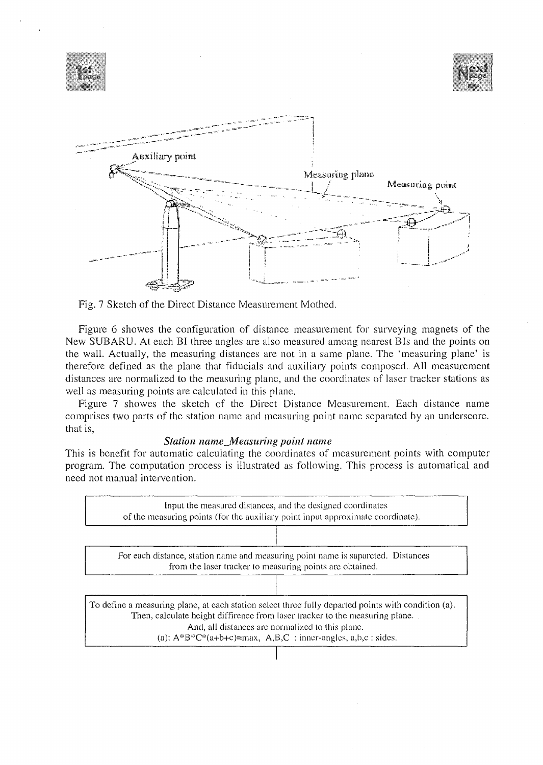![](_page_6_Figure_0.jpeg)

Fig. 7 Sketch of the Direct Distance Measurement Mothed.

Figure 6 showes the configuration of distance measurement for surveying magnets of the New SUBARU. At each BI three angles are also measured among nearest Bis and the points on the wall. Actually, the measuring distances are not in a same plane. The 'measuring plane' is therefore defined as the plane that fiducials and auxiliary points composed. All measurement distances are normalized to the measuring plane, and the coordinates of laser tracker stations as well as measuring points are calculated in this plane.

Figure 7 showes the sketch of the Direct Distance Measurement. Each distance name comprises two parts of the station name and measuring point name separated by an underscore, that is,

### *Station name\_Mensuring point name*

This is benefit for automatic calculating the coordinates of measurement points with computer program. The computation process is illustrated as following. This process is automatical and need not manual intervention.

![](_page_6_Figure_6.jpeg)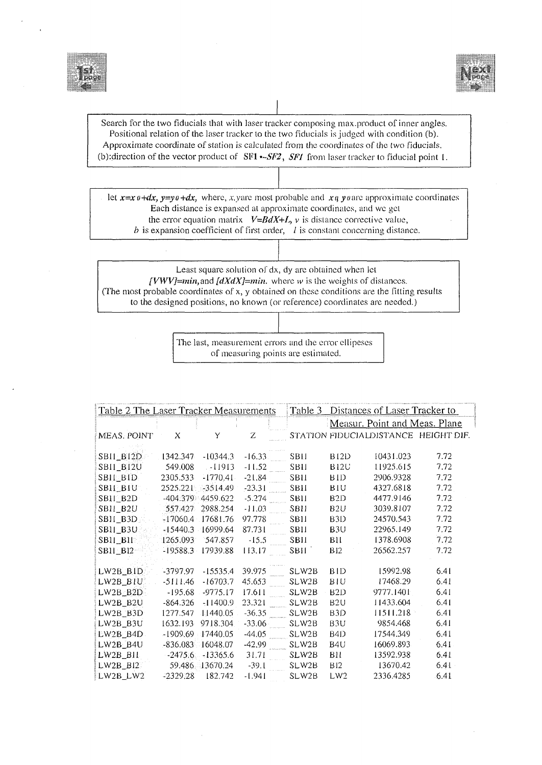![](_page_7_Picture_0.jpeg)

![](_page_7_Picture_1.jpeg)

Search for the two fiducials that with laser tracker composing max.product of inner angles. Positional relation of the laser tracker to the two fiducials is judged with condition (b). Approximate coordinate of station is calculated from the coordinates of the two fiducials. (b): direction of the vector product of  $SFI$   $\sim$  *SF2*, *SF1* from laser tracker to fiducial point 1.

let  $x=x\theta+dx$ ,  $y=y\theta+dx$ , where, x, yare most probable and  $x\theta$  yoarc approximate coordinates Each distance is expansed at approximate coordinates, and we get the error equation matrix  $V = BdX+L$ , *v* is distance corrective value,  $b$  is expansion coefficient of first order,  $l$  is constant concerning distance.

Least square solution of dx, dy are obtained when let *[VWV]=min,* and *[dXdX]—min.* where *w* is the weights of distances. (The most probable coordinates of x, y obtained on these conditions are the fitting results to the designed positions, no known (or reference) coordinates are needed.)

> The last, measurement errors and the error ellipeses of measuring points are estimated.

| Table 2 The Laser Tracker Measurements |            | Table 3             | Distances of Laser Tracker to |             |                  |                               |                                      |
|----------------------------------------|------------|---------------------|-------------------------------|-------------|------------------|-------------------------------|--------------------------------------|
|                                        |            |                     |                               |             |                  | Measur. Point and Meas. Plane |                                      |
| MEAS, POINT                            | X          | Υ                   | Z                             |             |                  |                               | STATION FIDUCIALDISTANCE HEIGHT DIF. |
|                                        |            |                     |                               |             |                  |                               |                                      |
| SBII_BI2D                              | 1342.347   | $-10344.3$          | $-16.33$                      | SBII        | <b>B12D</b>      | 10431.023                     | 7.72                                 |
| <b>SBIL_BI2U</b>                       | 549.008    | $-11913$            | $-11.52$                      | <b>SBII</b> | <b>B12U</b>      | 11925.615                     | 7.72                                 |
| <b>SBILEBID</b>                        | 2305.533   | $-1770.41$          | $-21.84$                      | <b>SB11</b> | BID.             | 2906.9328                     | 7.72                                 |
| <b>SBIL_BIU</b>                        | 2525.221   | $-3514.49$          | $-23.31$                      | SBII        | <b>BIU</b>       | 4327.6818                     | 7.72                                 |
| SBII_B2D                               |            | -404.379 4459.622   | $-5.274$                      | <b>SBII</b> | B <sub>2</sub> D | 4477.9146                     | 7.72                                 |
| SBII_B2U                               | 557.427    | 2988.254            | $-11.03$                      | <b>SBII</b> | B2U              | 3039,8107                     | 7.72                                 |
| SBII_B3D                               |            | $-17060.4$ 17681.76 | 97.778                        | <b>SB11</b> | B <sub>3</sub> D | 24570.543                     | 7.72                                 |
| $SB1 \_B30$                            |            | $-15440.3$ 16999.64 | 87.731                        | <b>SBII</b> | B <sub>3U</sub>  | 22965.149                     | 7.72                                 |
| <b>SBIL_BIL</b>                        | 1265.093   | 547.857             | $-15.5$                       | SBII        | BII              | 1378.6908                     | 7.72                                 |
| SB11_B12-                              | $-19588.3$ | 17939.88            | 113.17                        | SBII        | <b>B12</b>       | 26562.257                     | 7.72                                 |
|                                        |            |                     |                               |             |                  |                               |                                      |
| LW2B_BID                               | -3797.97   | $-15535.4$          | 39.975                        | SLW2B       | <b>BID</b>       | 15992.98                      | 6.41                                 |
| $LW2B_B1U$                             | $-5111.46$ | $-16703.7$          | 45.653                        | SLW2B       | BIU              | 17468.29                      | 6.41                                 |
| $LW2B_B2D$                             | $-195.68$  | $-9775.17$          | 17.611                        | SLW2B       | B2D              | 9777.1401                     | 6.41                                 |
| LW2B_B2U                               | $-864.326$ | $-11400.9$          | 23.321                        | SLW2B-      | B <sub>2U</sub>  | 11433.604                     | 6.41                                 |
| LW2B_B3D                               | 1277.547   | 11440.05            | $-36.35$                      | SLW2B       | B <sub>3</sub> D | 11511.218                     | 6.41                                 |
| LW2B_B3U                               | 1632.193   | 9718.304            | $-33.06$                      | SLW2B       | B <sub>3U</sub>  | 9854.468                      | 6.41                                 |
| LW2B_B4D                               |            | -1909.69 17440.05   | 44.05                         | SLW2B       | B <sub>4D</sub>  | 17544.349                     | 6.41                                 |
| LW2B_B4U                               |            | -836.083 16048.07   | $-42.99$                      | SLW2B       | B <sub>4U</sub>  | 16069.893                     | 6.41                                 |
| $LW2B_B11$                             |            | $-2475.6 - 13365.6$ | 31.71                         | SLW2B       | BII              | 13592.938                     | 6.41                                 |
| $LW2B_B12$                             |            | 59.486 13670.24     | $-39.1$                       | SLW2B       | <b>B12</b>       | 13670.42                      | 6.41                                 |
| LW2B_LW2                               | $-2329.28$ | 182.742             | $-1.941$                      | SLW2B       | LW2              | 2336.4285                     | 6.41                                 |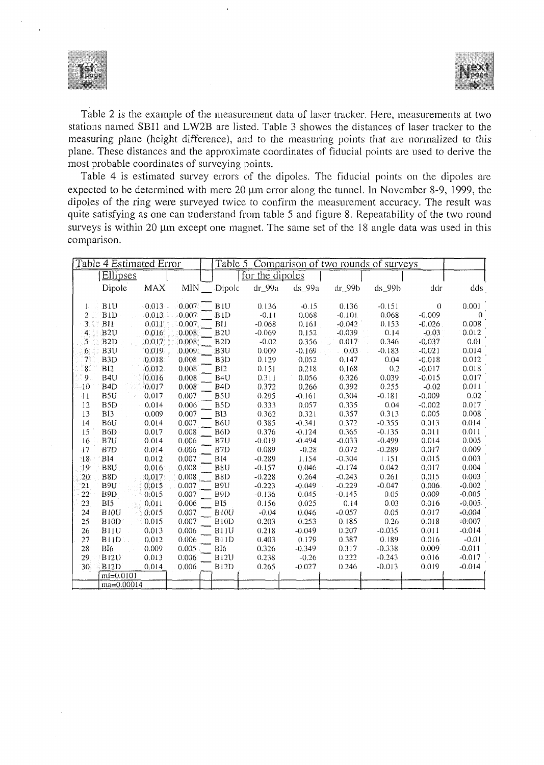![](_page_8_Picture_0.jpeg)

![](_page_8_Picture_1.jpeg)

Table 2 is the example of the measurement data of laser tracker. Here, measurements at two stations named SBI1 and LW2B are listed. Table 3 showes the distances of laser tracker to the measuring plane (height difference), and to the measuring points that are normalized to this plane. These distances and the approximate coordinates of fiducial points are used to derive the most probable coordinates of surveying points.

Table 4 is estimated survey errors of the dipoles. The fiducial points on the dipoles are expected to be determined with mere  $20 \mu m$  error along the tunnel. In November 8-9, 1999, the dipoles of the ring were surveyed twice to confirm the measurement accuracy. The result was quite satisfying as one can understand from table 5 and figure 8. Repeatability of the two round surveys is within 20 um except one magnet. The same set of the 18 angle data was used in this comparison.

| Table 4 Estimated Error |                            | Table 5 Comparison of two rounds of surveys |                   |                 |            |          |               |          |          |
|-------------------------|----------------------------|---------------------------------------------|-------------------|-----------------|------------|----------|---------------|----------|----------|
|                         | Ellipses                   |                                             |                   | for the dipoles |            |          |               |          |          |
|                         | Dipole<br><b>MAX</b>       | MIN.                                        | Dipole            | $dr_99a$        | $ds_99a$   | dr_99b   | $ds_9$ 99 $b$ | ddr      | dds      |
| Ŀ                       | BIU<br>$-0.013$            | 0.007                                       | <b>BIU</b>        | 0.136           | $-0.15$    | 0.136    | $-0.151$      | $\Omega$ | 0.001    |
| $\overline{2}$          | 0.013<br>B <sub>1</sub> D  | 0.007                                       | BID               | $-0.11$         | 0.068      | $-0.101$ | 0.068         | $-0.009$ | 0        |
| $\overline{3}$          | BII<br>0.011               | 0.007                                       | BH.               | $-0.068$        | 0.161      | $-0.042$ | 0.153         | $-0.026$ | 0.008    |
| 4                       | B <sub>2U</sub><br>0.016   | 0.008                                       | B <sub>2U</sub>   | $-0.069$        | 0.152      | $-0.039$ | 0.14          | $-0.03$  | 0.012    |
| $\mathcal{S}$           | B2D<br>0.017               | 0.008                                       | B <sub>2</sub> D  | $-0.02$         | 0.356      | 0.017    | 0.346         | $-0.037$ | 0.01     |
| 6                       | B3U<br>0.019               | 0.009                                       | B3U               | 0.009           | $-0.169$   | 0.03     | $-0.183$      | $-0.021$ | 0.014    |
| 7                       | B <sub>3</sub> D<br>0.018  | 0.008                                       | B <sub>3</sub> D  | 0.129           | 0.052      | 0.147    | 0.04          | $-0.018$ | 0.012    |
| $8^{\circ}$             | BI2<br>0.012               | 0.008                                       | BI2               | 0.151           | 0.218      | 0.168    | 0.2           | $-0.017$ | 0.018    |
| 9.                      | B <sub>4U</sub><br>0.016   | 0.008                                       | B <sub>4U</sub>   | 0.311           | 0.056      | 0.326    | 0.039         | $-0.015$ | 0.017    |
| $\overline{10}$         | B <sub>4</sub> D<br>0.017  | 0.008                                       | B <sub>4</sub> D  | 0.372           | 0.266      | 0.392    | 0.255         | $-0.02$  | 0.011    |
| $\overline{11}$         | B5U<br>0.017               | 0.007                                       | B <sub>5U</sub>   | 0.295           | $-0.161$   | 0.304    | $-0.181$      | $-0.009$ | 0.02     |
| 12                      | B <sub>5</sub> D<br>0.014  | 0.006                                       | B <sub>5</sub> D  | 0.333           | 0.057      | 0.335    | 0.04          | $-0.002$ | 0.017    |
| 13                      | B13<br>0.009               | 0.007                                       | BI3               | 0.362           | 0.321      | 0.357    | 0.313         | 0.005    | 0.008    |
| 14                      | B6U<br>0.014               | 0.007                                       | B6U               | 0.385           | $-0.341$   | 0.372    | $-0.355$      | 0.013    | 0.014    |
| 15                      | B6D<br>0.017               | 0.008                                       | B6D               | 0.376           | $-0.124$   | 0.365    | $-0.135$      | 0.011    | 0.011    |
| 16                      | B7U<br>0.014               | 0.006                                       | B7U               | $-0.019$        | $-(0.494)$ | $-0.033$ | $-0.499$      | 0.014    | 0.005    |
| $\cdot$ 17              | B <sub>7</sub> D<br>0.014  | 0.006                                       | B7D               | 0.089           | $-0.28$    | 0.072    | $-0.289$      | 0.017    | 0.009    |
| $^{\circ}18$            | B14<br>0.012               | 0.007                                       | B[4]              | $-0.289$        | 1.154      | $-0.304$ | 1.151         | 0.015    | 0.003    |
| -19                     | B8U<br>0.016               | 0.008                                       | B8U               | $-0.157$        | 0.046      | $-0.174$ | 0.042         | 0.017    | 0.004    |
| $20^{\circ}$            | 0.017<br>B8D               | 0.008                                       | B <sub>8</sub> D  | $-0.228$        | 0.264      | $-0.243$ | 0.261         | 0.015    | 0.003    |
| 21                      | B <sub>9U</sub><br>0.015   | 0.007                                       | B9U               | $-0.223$        | $-0.049$   | $-0.229$ | $-0.047$      | 0.006    | $-0.002$ |
| $^{22}$                 | B <sub>9</sub> D<br>0.015  | 0.007                                       | B9D               | $-0.136$        | 0.045      | $-0.145$ | 0.05          | 0.009    | $-0.005$ |
| 23                      | BI5<br>0.011               | 0.006                                       | BI5               | 0.156           | 0.025      | 0.14     | 0.03          | 0.016    | $-0.005$ |
| 24                      | <b>B10U</b><br>0.015       | 0.007                                       | <b>B10U</b>       | $-0.04$         | 0.046      | $-0.057$ | 0.05          | 0.017    | $-0.004$ |
| 25                      | B <sub>10</sub> D<br>0.015 | 0.007                                       | B <sub>10</sub> D | 0.203           | 0.253      | 0.185    | 0.26          | 0.018    | $-0.007$ |
| 26                      | 0.013<br>BIIU              | 0.006                                       | B11U              | 0.218           | $-0.049$   | 0.207    | $-0.035$      | 0.011    | $-0.014$ |
| 27                      | 0.012<br>B <sub>1</sub> D  | 0.006                                       | B11D              | 0.403           | 0.179      | 0.387    | 0.189         | 0.016    | $-0.01$  |
| 28 <sup>1</sup>         | 0.009<br>BI6               | 0.005                                       | BI6               | 0.326           | $-0.349$   | 0.317    | $-0.338$      | 0.009    | $-0.011$ |
| 29                      | B12U<br>$-0.013$           | 0.006                                       | <b>B12U</b>       | 0.238           | $-0.26$    | 0.222    | $-0.243$      | 0.016    | $-0.017$ |
| 30 <sup>°</sup>         | B <sub>12</sub> D<br>0.014 | 0.006                                       | B <sub>12D</sub>  | 0.265           | $-0.027$   | 0.246    | $-0.013$      | 0.019    | $-0.014$ |
|                         | $ml=0.0101$                |                                             |                   |                 |            |          |               |          |          |
|                         | $ma = 0.00014$             |                                             |                   |                 |            |          |               |          |          |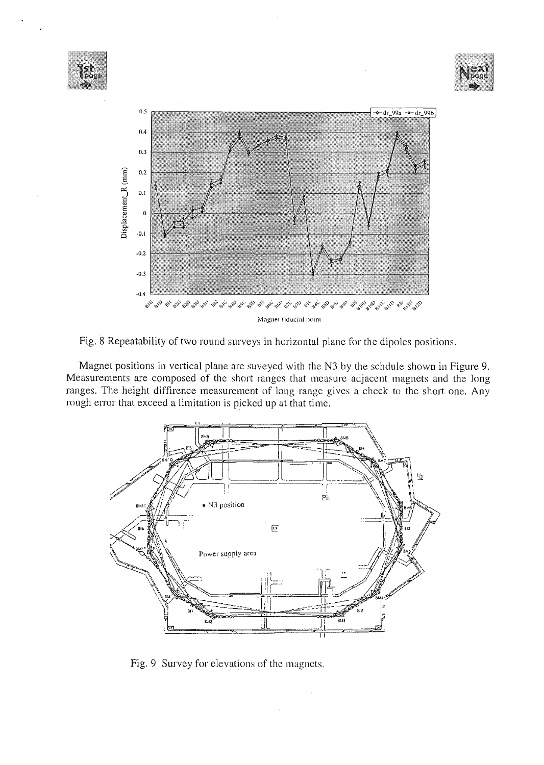![](_page_9_Figure_0.jpeg)

![](_page_9_Figure_1.jpeg)

Magnet positions in vertical plane are suveyed with the N3 by the schdule shown in Figure 9. Measurements are composed of the short ranges that measure adjacent magnets and the long ranges. The height diffirence measurement of long range gives a check to the short one. Any rough error that exceed a limitation is picked up at that time.

![](_page_9_Figure_3.jpeg)

Fig. 9 Survey for elevations of the magnets.